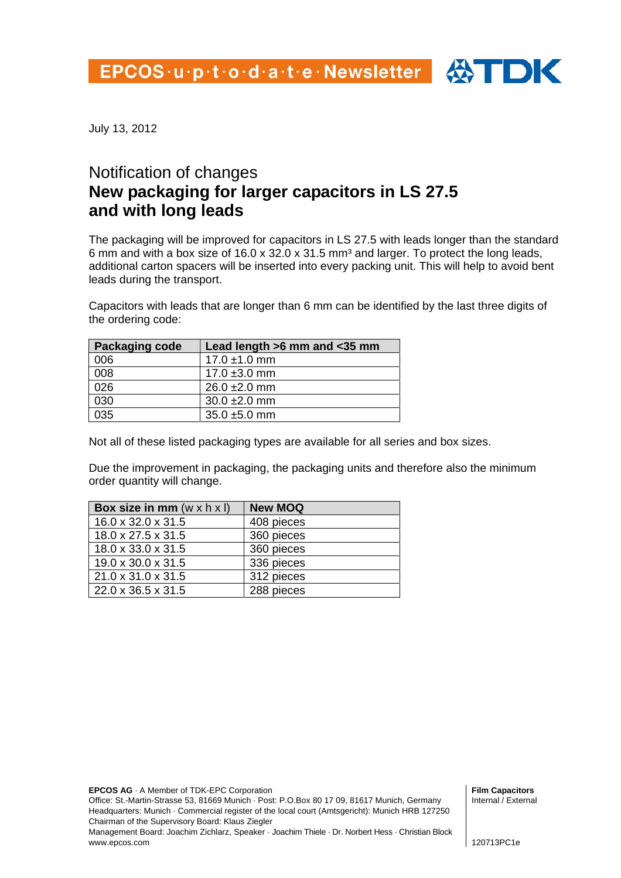

July 13, 2012

## Notification of changes **New packaging for larger capacitors in LS 27.5 and with long leads**

The packaging will be improved for capacitors in LS 27.5 with leads longer than the standard 6 mm and with a box size of 16.0 x 32.0 x 31.5 mm<sup>3</sup> and larger. To protect the long leads, additional carton spacers will be inserted into every packing unit. This will help to avoid bent leads during the transport.

Capacitors with leads that are longer than 6 mm can be identified by the last three digits of the ordering code:

| <b>Packaging code</b> | Lead length >6 mm and <35 mm |  |
|-----------------------|------------------------------|--|
| 006                   | $17.0 \pm 1.0 \text{ mm}$    |  |
| 008                   | 17.0 $\pm$ 3.0 mm            |  |
| 026                   | $26.0 \pm 2.0$ mm            |  |
| 030                   | $30.0 \pm 2.0$ mm            |  |
| 035                   | $35.0 \pm 5.0$ mm            |  |

Not all of these listed packaging types are available for all series and box sizes.

Due the improvement in packaging, the packaging units and therefore also the minimum order quantity will change.

| Box size in mm $(w \times h \times l)$ | <b>New MOQ</b> |
|----------------------------------------|----------------|
| $16.0 \times 32.0 \times 31.5$         | 408 pieces     |
| $18.0 \times 27.5 \times 31.5$         | 360 pieces     |
| 18.0 x 33.0 x 31.5                     | 360 pieces     |
| 19.0 x 30.0 x 31.5                     | 336 pieces     |
| $21.0 \times 31.0 \times 31.5$         | 312 pieces     |
| 22.0 x 36.5 x 31.5                     | 288 pieces     |

**EPCOS AG** · A Member of TDK-EPC Corporation

Office: St.-Martin-Strasse 53, 81669 Munich · Post: P.O.Box 80 17 09, 81617 Munich, Germany Headquarters: Munich · Commercial register of the local court (Amtsgericht): Munich HRB 127250 Chairman of the Supervisory Board: Klaus Ziegler

Management Board: Joachim Zichlarz, Speaker · Joachim Thiele · Dr. Norbert Hess · Christian Block www.epcos.com

**Film Capacitors**  Internal / External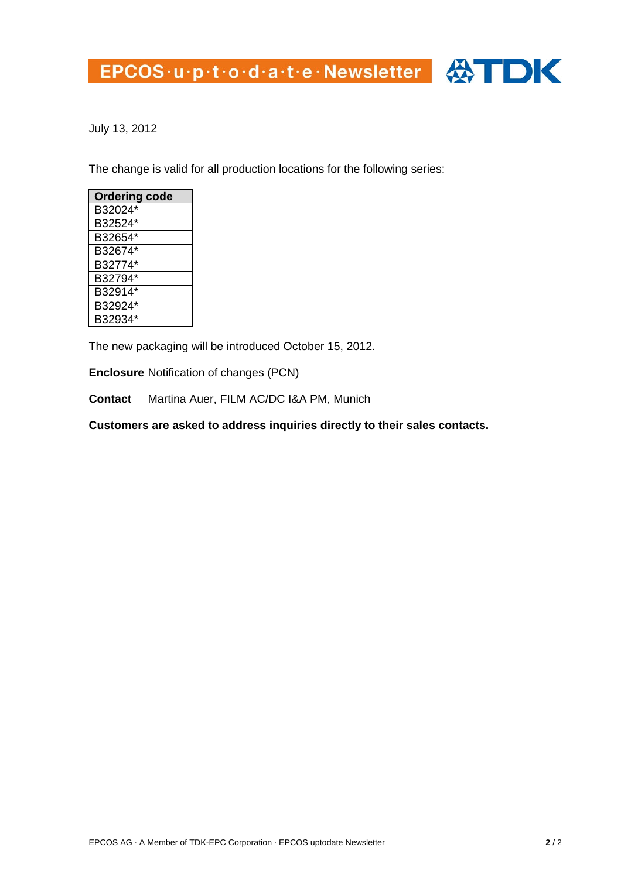## EPCOS·u·p·t·o·d·a·t·e·Newsletter 4



July 13, 2012

The change is valid for all production locations for the following series:

| <b>Ordering code</b> |
|----------------------|
| B32024*              |
| B32524*              |
| B32654*              |
| B32674*              |
| B32774*              |
| B32794*              |
| B32914*              |
| B32924*              |
| B32934*              |

The new packaging will be introduced October 15, 2012.

**Enclosure** Notification of changes (PCN)

**Contact** Martina Auer, FILM AC/DC I&A PM, Munich

**Customers are asked to address inquiries directly to their sales contacts.**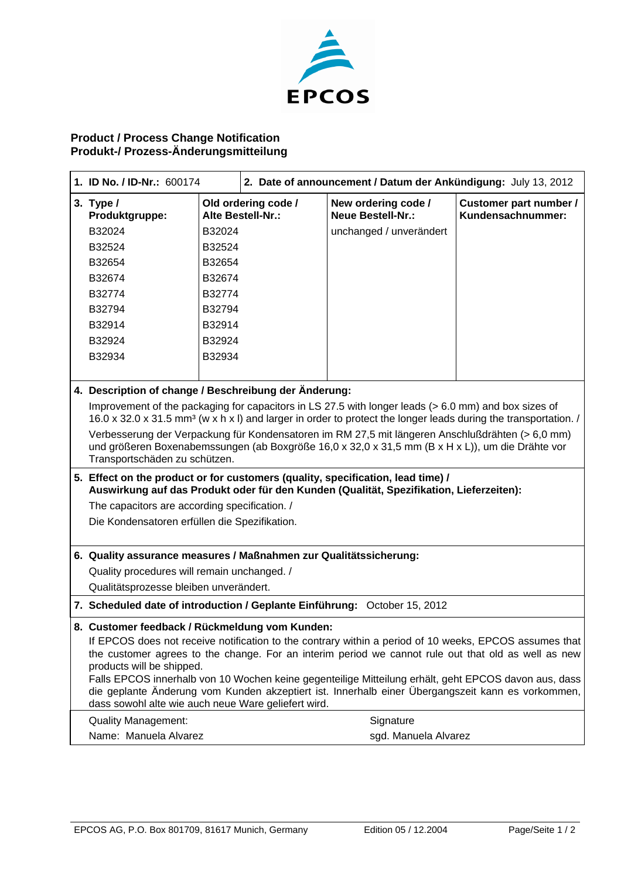

## **Product / Process Change Notification Produkt-/ Prozess-Änderungsmitteilung**

| 1. ID No. / ID-Nr.: 600174                                                                                                                                                                                                            |                                                       | 2. Date of announcement / Datum der Ankündigung: July 13, 2012 |                                             |  |  |
|---------------------------------------------------------------------------------------------------------------------------------------------------------------------------------------------------------------------------------------|-------------------------------------------------------|----------------------------------------------------------------|---------------------------------------------|--|--|
| 3. Type $/$<br>Produktgruppe:                                                                                                                                                                                                         | Old ordering code /<br>Alte Bestell-Nr.:              | New ordering code /<br><b>Neue Bestell-Nr.:</b>                | Customer part number /<br>Kundensachnummer: |  |  |
| B32024                                                                                                                                                                                                                                | B32024                                                | unchanged / unverändert                                        |                                             |  |  |
| B32524                                                                                                                                                                                                                                | B32524                                                |                                                                |                                             |  |  |
| B32654                                                                                                                                                                                                                                | B32654                                                |                                                                |                                             |  |  |
| B32674                                                                                                                                                                                                                                | B32674                                                |                                                                |                                             |  |  |
| B32774                                                                                                                                                                                                                                | B32774                                                |                                                                |                                             |  |  |
| B32794                                                                                                                                                                                                                                | B32794                                                |                                                                |                                             |  |  |
| B32914                                                                                                                                                                                                                                | B32914                                                |                                                                |                                             |  |  |
| B32924                                                                                                                                                                                                                                | B32924                                                |                                                                |                                             |  |  |
| B32934                                                                                                                                                                                                                                | B32934                                                |                                                                |                                             |  |  |
|                                                                                                                                                                                                                                       |                                                       |                                                                |                                             |  |  |
|                                                                                                                                                                                                                                       | 4. Description of change / Beschreibung der Änderung: |                                                                |                                             |  |  |
| Improvement of the packaging for capacitors in LS 27.5 with longer leads (> 6.0 mm) and box sizes of<br>16.0 x 32.0 x 31.5 mm <sup>3</sup> (w x h x l) and larger in order to protect the longer leads during the transportation. /   |                                                       |                                                                |                                             |  |  |
| Verbesserung der Verpackung für Kondensatoren im RM 27,5 mit längeren Anschlußdrähten (> 6,0 mm)<br>und größeren Boxenabemssungen (ab Boxgröße 16,0 x 32,0 x 31,5 mm (B x H x L)), um die Drähte vor<br>Transportschäden zu schützen. |                                                       |                                                                |                                             |  |  |
| 5. Effect on the product or for customers (quality, specification, lead time) /<br>Auswirkung auf das Produkt oder für den Kunden (Qualität, Spezifikation, Lieferzeiten):                                                            |                                                       |                                                                |                                             |  |  |
| The capacitors are according specification. /                                                                                                                                                                                         |                                                       |                                                                |                                             |  |  |
| Die Kondensatoren erfüllen die Spezifikation.                                                                                                                                                                                         |                                                       |                                                                |                                             |  |  |
| 6. Quality assurance measures / Maßnahmen zur Qualitätssicherung:                                                                                                                                                                     |                                                       |                                                                |                                             |  |  |
| Quality procedures will remain unchanged. /                                                                                                                                                                                           |                                                       |                                                                |                                             |  |  |
| Qualitätsprozesse bleiben unverändert.                                                                                                                                                                                                |                                                       |                                                                |                                             |  |  |
| 7. Scheduled date of introduction / Geplante Einführung: October 15, 2012                                                                                                                                                             |                                                       |                                                                |                                             |  |  |
| 8. Customer feedback / Rückmeldung vom Kunden:                                                                                                                                                                                        |                                                       |                                                                |                                             |  |  |
| If EPCOS does not receive notification to the contrary within a period of 10 weeks, EPCOS assumes that                                                                                                                                |                                                       |                                                                |                                             |  |  |
| the customer agrees to the change. For an interim period we cannot rule out that old as well as new<br>products will be shipped.                                                                                                      |                                                       |                                                                |                                             |  |  |
| Falls EPCOS innerhalb von 10 Wochen keine gegenteilige Mitteilung erhält, geht EPCOS davon aus, dass                                                                                                                                  |                                                       |                                                                |                                             |  |  |
| die geplante Änderung vom Kunden akzeptiert ist. Innerhalb einer Übergangszeit kann es vorkommen,<br>dass sowohl alte wie auch neue Ware geliefert wird.                                                                              |                                                       |                                                                |                                             |  |  |
| <b>Quality Management:</b>                                                                                                                                                                                                            |                                                       | Signature                                                      |                                             |  |  |
| Name: Manuela Alvarez                                                                                                                                                                                                                 |                                                       | sgd. Manuela Alvarez                                           |                                             |  |  |